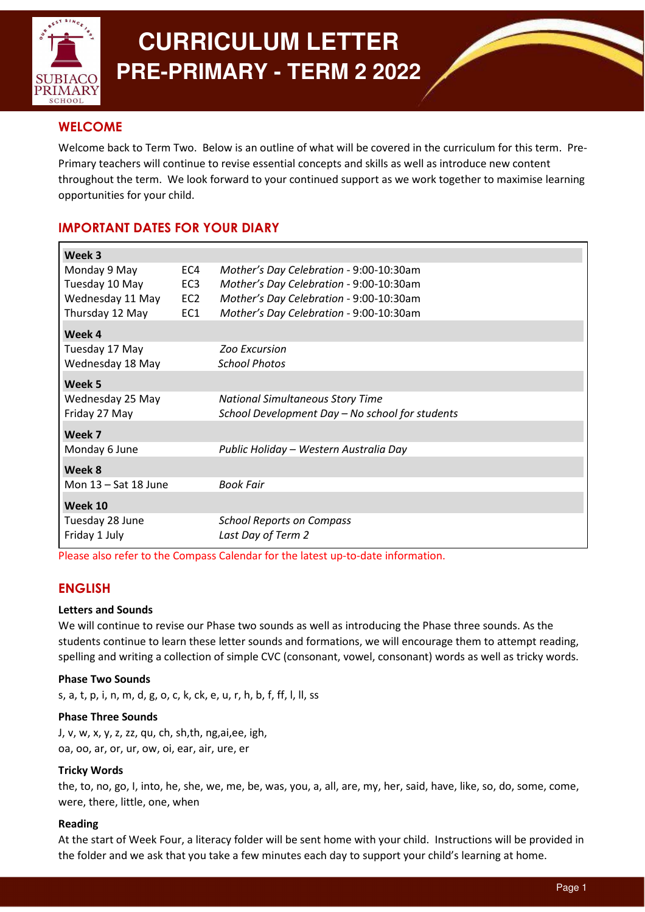

# **CURRICULUM LETTER PRE-PRIMARY - TERM 2 2022**

# **WELCOME**

Welcome back to Term Two. Below is an outline of what will be covered in the curriculum for this term. Pre-Primary teachers will continue to revise essential concepts and skills as well as introduce new content throughout the term. We look forward to your continued support as we work together to maximise learning opportunities for your child.

# IMPORTANT DATES FOR YOUR DIARY

| Week 3                 |                 |                                                 |
|------------------------|-----------------|-------------------------------------------------|
| Monday 9 May           | EC4             | Mother's Day Celebration - 9:00-10:30am         |
| Tuesday 10 May         | EC <sub>3</sub> | Mother's Day Celebration - 9:00-10:30am         |
| Wednesday 11 May       | EC <sub>2</sub> | Mother's Day Celebration - 9:00-10:30am         |
| Thursday 12 May        | EC1             | Mother's Day Celebration - 9:00-10:30am         |
| Week 4                 |                 |                                                 |
| Tuesday 17 May         |                 | <b>Zoo Excursion</b>                            |
| Wednesday 18 May       |                 | <b>School Photos</b>                            |
| Week 5                 |                 |                                                 |
| Wednesday 25 May       |                 | <b>National Simultaneous Story Time</b>         |
| Friday 27 May          |                 | School Development Day - No school for students |
| Week 7                 |                 |                                                 |
| Monday 6 June          |                 | Public Holiday - Western Australia Day          |
| Week 8                 |                 |                                                 |
| Mon $13 - Sat$ 18 June |                 | <b>Book Fair</b>                                |
| Week 10                |                 |                                                 |
| Tuesday 28 June        |                 | <b>School Reports on Compass</b>                |
| Friday 1 July          |                 | Last Day of Term 2                              |

Please also refer to the Compass Calendar for the latest up-to-date information.

# ENGLISH

#### Letters and Sounds

We will continue to revise our Phase two sounds as well as introducing the Phase three sounds. As the students continue to learn these letter sounds and formations, we will encourage them to attempt reading, spelling and writing a collection of simple CVC (consonant, vowel, consonant) words as well as tricky words.

#### Phase Two Sounds

s, a, t, p, i, n, m, d, g, o, c, k, ck, e, u, r, h, b, f, ff, l, ll, ss

#### Phase Three Sounds

J, v, w, x, y, z, zz, qu, ch, sh,th, ng,ai,ee, igh, oa, oo, ar, or, ur, ow, oi, ear, air, ure, er

#### Tricky Words

the, to, no, go, I, into, he, she, we, me, be, was, you, a, all, are, my, her, said, have, like, so, do, some, come, were, there, little, one, when

#### Reading

At the start of Week Four, a literacy folder will be sent home with your child. Instructions will be provided in the folder and we ask that you take a few minutes each day to support your child's learning at home.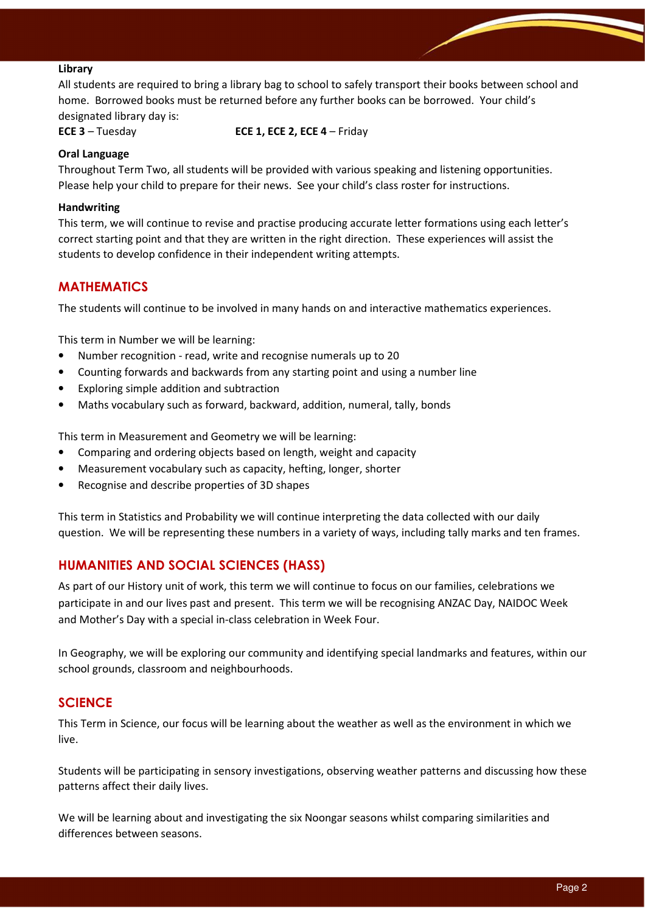#### Library

All students are required to bring a library bag to school to safely transport their books between school and home. Borrowed books must be returned before any further books can be borrowed. Your child's designated library day is:

ECE 3 – Tuesday ECE 1, ECE 2, ECE 4 – Friday

#### Oral Language

Throughout Term Two, all students will be provided with various speaking and listening opportunities. Please help your child to prepare for their news. See your child's class roster for instructions.

#### **Handwriting**

This term, we will continue to revise and practise producing accurate letter formations using each letter's correct starting point and that they are written in the right direction. These experiences will assist the students to develop confidence in their independent writing attempts.

#### MATHEMATICS

The students will continue to be involved in many hands on and interactive mathematics experiences.

This term in Number we will be learning:

- Number recognition read, write and recognise numerals up to 20
- Counting forwards and backwards from any starting point and using a number line
- Exploring simple addition and subtraction
- Maths vocabulary such as forward, backward, addition, numeral, tally, bonds

This term in Measurement and Geometry we will be learning:

- Comparing and ordering objects based on length, weight and capacity
- Measurement vocabulary such as capacity, hefting, longer, shorter
- Recognise and describe properties of 3D shapes

This term in Statistics and Probability we will continue interpreting the data collected with our daily question. We will be representing these numbers in a variety of ways, including tally marks and ten frames.

# HUMANITIES AND SOCIAL SCIENCES (HASS)

As part of our History unit of work, this term we will continue to focus on our families, celebrations we participate in and our lives past and present. This term we will be recognising ANZAC Day, NAIDOC Week and Mother's Day with a special in-class celebration in Week Four.

In Geography, we will be exploring our community and identifying special landmarks and features, within our school grounds, classroom and neighbourhoods.

#### **SCIENCE**

This Term in Science, our focus will be learning about the weather as well as the environment in which we live.

Students will be participating in sensory investigations, observing weather patterns and discussing how these patterns affect their daily lives.

We will be learning about and investigating the six Noongar seasons whilst comparing similarities and differences between seasons.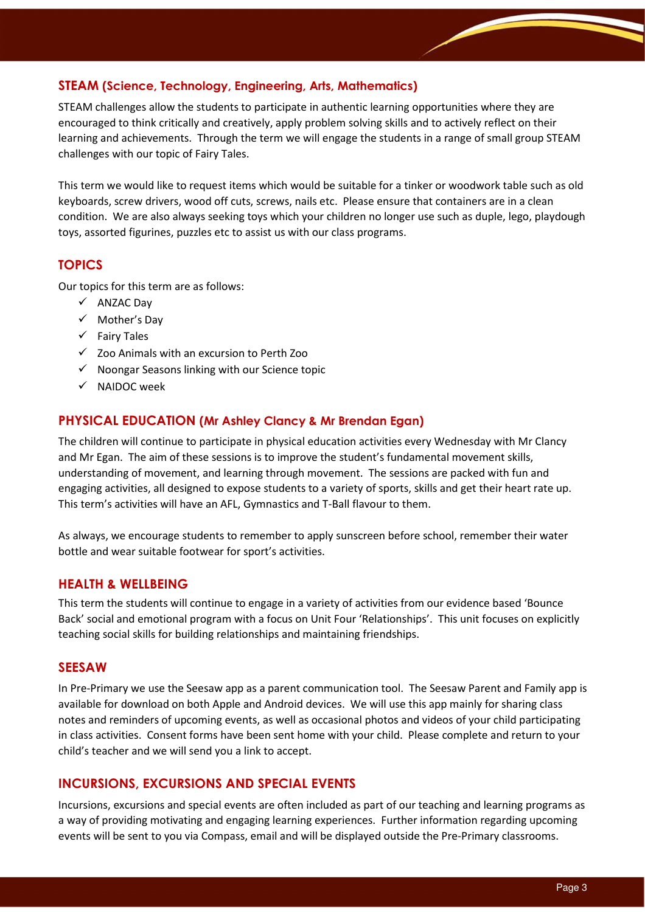# STEAM (Science, Technology, Engineering, Arts, Mathematics)

STEAM challenges allow the students to participate in authentic learning opportunities where they are encouraged to think critically and creatively, apply problem solving skills and to actively reflect on their learning and achievements. Through the term we will engage the students in a range of small group STEAM challenges with our topic of Fairy Tales.

This term we would like to request items which would be suitable for a tinker or woodwork table such as old keyboards, screw drivers, wood off cuts, screws, nails etc. Please ensure that containers are in a clean condition. We are also always seeking toys which your children no longer use such as duple, lego, playdough toys, assorted figurines, puzzles etc to assist us with our class programs.

# **TOPICS**

Our topics for this term are as follows:

- $\checkmark$  ANZAC Day
- $\checkmark$  Mother's Day
- $\checkmark$  Fairy Tales
- $\checkmark$  Zoo Animals with an excursion to Perth Zoo
- $\checkmark$  Noongar Seasons linking with our Science topic
- $\checkmark$  NAIDOC week

## PHYSICAL EDUCATION (Mr Ashley Clancy & Mr Brendan Egan)

The children will continue to participate in physical education activities every Wednesday with Mr Clancy and Mr Egan. The aim of these sessions is to improve the student's fundamental movement skills, understanding of movement, and learning through movement. The sessions are packed with fun and engaging activities, all designed to expose students to a variety of sports, skills and get their heart rate up. This term's activities will have an AFL, Gymnastics and T-Ball flavour to them.

As always, we encourage students to remember to apply sunscreen before school, remember their water bottle and wear suitable footwear for sport's activities.

#### HEALTH & WELLBEING

This term the students will continue to engage in a variety of activities from our evidence based 'Bounce Back' social and emotional program with a focus on Unit Four 'Relationships'. This unit focuses on explicitly teaching social skills for building relationships and maintaining friendships.

#### SEESAW

In Pre-Primary we use the Seesaw app as a parent communication tool. The Seesaw Parent and Family app is available for download on both Apple and Android devices. We will use this app mainly for sharing class notes and reminders of upcoming events, as well as occasional photos and videos of your child participating in class activities. Consent forms have been sent home with your child. Please complete and return to your child's teacher and we will send you a link to accept.

# INCURSIONS, EXCURSIONS AND SPECIAL EVENTS

Incursions, excursions and special events are often included as part of our teaching and learning programs as a way of providing motivating and engaging learning experiences. Further information regarding upcoming events will be sent to you via Compass, email and will be displayed outside the Pre-Primary classrooms.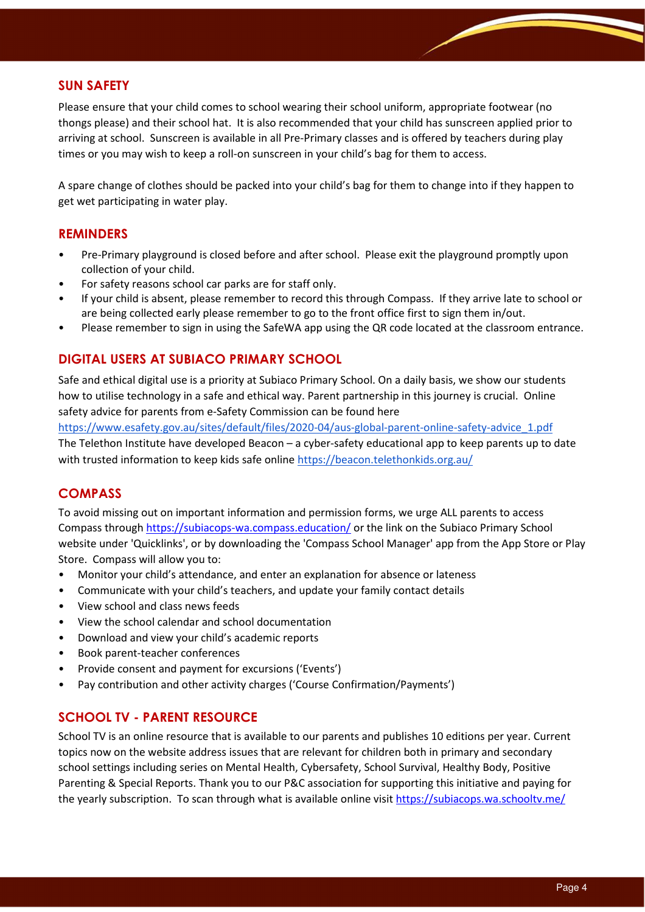## SUN SAFETY

Please ensure that your child comes to school wearing their school uniform, appropriate footwear (no thongs please) and their school hat. It is also recommended that your child has sunscreen applied prior to arriving at school. Sunscreen is available in all Pre-Primary classes and is offered by teachers during play times or you may wish to keep a roll-on sunscreen in your child's bag for them to access.

A spare change of clothes should be packed into your child's bag for them to change into if they happen to get wet participating in water play.

#### REMINDERS

- Pre-Primary playground is closed before and after school. Please exit the playground promptly upon collection of your child.
- For safety reasons school car parks are for staff only.
- If your child is absent, please remember to record this through Compass. If they arrive late to school or are being collected early please remember to go to the front office first to sign them in/out.
- Please remember to sign in using the SafeWA app using the QR code located at the classroom entrance.

## DIGITAL USERS AT SUBIACO PRIMARY SCHOOL

Safe and ethical digital use is a priority at Subiaco Primary School. On a daily basis, we show our students how to utilise technology in a safe and ethical way. Parent partnership in this journey is crucial. Online safety advice for parents from e-Safety Commission can be found here

https://www.esafety.gov.au/sites/default/files/2020-04/aus-global-parent-online-safety-advice\_1.pdf The Telethon Institute have developed Beacon – a cyber-safety educational app to keep parents up to date with trusted information to keep kids safe online https://beacon.telethonkids.org.au/

#### **COMPASS**

To avoid missing out on important information and permission forms, we urge ALL parents to access Compass through https://subiacops-wa.compass.education/ or the link on the Subiaco Primary School website under 'Quicklinks', or by downloading the 'Compass School Manager' app from the App Store or Play Store. Compass will allow you to:

- Monitor your child's attendance, and enter an explanation for absence or lateness
- Communicate with your child's teachers, and update your family contact details
- View school and class news feeds
- View the school calendar and school documentation
- Download and view your child's academic reports
- Book parent-teacher conferences
- Provide consent and payment for excursions ('Events')
- Pay contribution and other activity charges ('Course Confirmation/Payments')

#### SCHOOL TV - PARENT RESOURCE

School TV is an online resource that is available to our parents and publishes 10 editions per year. Current topics now on the website address issues that are relevant for children both in primary and secondary school settings including series on Mental Health, Cybersafety, School Survival, Healthy Body, Positive Parenting & Special Reports. Thank you to our P&C association for supporting this initiative and paying for the yearly subscription. To scan through what is available online visit https://subiacops.wa.schooltv.me/